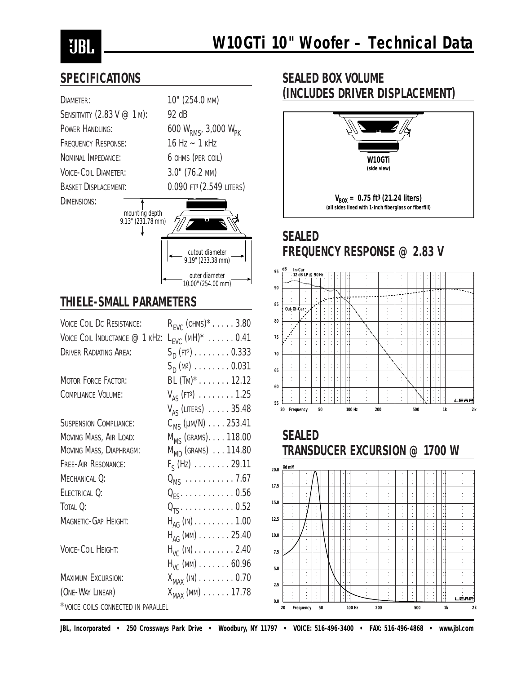# **UBL**

#### **SPECIFICATIONS**

| DIAMETER:                           | 10" (254.0 MM)                             |
|-------------------------------------|--------------------------------------------|
| SENSITIVITY (2.83 V @ 1 M):         | 92 dB                                      |
| POWER HANDLING:                     | 600 $W_{RMS}$ , 3,000 $W_{PK}$             |
| <b>FREQUENCY RESPONSE:</b>          | $16$ Hz $\sim$ 1 kHz                       |
| NOMINAL IMPEDANCE:                  | 6 OHMS (PER COIL)                          |
| <b>VOICE-COIL DIAMETER:</b>         | 3.0" (76.2 MM)                             |
| <b>BASKET DISPLACEMENT:</b>         | $0.090$ FT <sup>3</sup> ( $2.549$ LITERS)  |
| DIMENSIONS:                         |                                            |
| mounting depth<br>9.13" (231.78 mm) |                                            |
|                                     | cutout diameter<br>9.19" (233.38 mm)       |
|                                     | outer diameter<br>10.00" (254.00 mm)       |
| <b>THIELE-SMALL PARAMETERS</b>      |                                            |
| <b>VOICE COIL DC RESISTANCE:</b>    | $R_{EVC}$ (OHMS)* $\ldots$ . 3.80          |
| VOICE COIL INDUCTANCE @ 1 KHZ:      | $L_{EVC}$ (MH) <sup>*</sup> 0.41           |
| <b>DRIVER RADIATING AREA:</b>       | $S_{\text{D}}$ (FT <sup>2</sup> ) 0.333    |
|                                     | $S_{\text{D}}(\text{M}^2)$ 0.031           |
| <b>MOTOR FORCE FACTOR:</b>          | BL (TM)* 12.12                             |
| <b>COMPLIANCE VOLUME:</b>           | $V_{AS}$ (FT <sup>3</sup> ) 1.25           |
|                                     | $V_{AS}$ (Liters) $\ldots$ . 35.48         |
| <b>SUSPENSION COMPLIANCE:</b>       | $C_{MS}$ ( $\mu$ m/N) $\ldots$ 253.41      |
| MOVING MASS, AIR LOAD:              | M <sub>MS</sub> (GRAMS). 118.00            |
| MOVING MASS, DIAPHRAGM:             | $M_{MD}$ (GRAMS) $\ldots$ 114.80           |
| FREE-AIR RESONANCE:                 | $F_S$ (Hz) $\ldots \ldots \ldots 29.11$    |
| MECHANICAL Q:                       | $Q_{MS}$ 7.67                              |
| ELECTRICAL Q:                       | $Q_{ES}$ 0.56                              |
| TOTAL Q:                            | $\textsf{Q}_{\textsf{TS}}$ 0.52            |
| MAGNETIC-GAP HEIGHT:                | $H_{AG}$ (IN) 1.00                         |
|                                     | $H_{AG}$ (MM) $\ldots \ldots \ldots 25.40$ |
| VOICE-COIL HEIGHT:                  | $H_{VC}$ (IN) $\ldots \ldots \ldots 2.40$  |
|                                     | $H_{VC}$ (MM) $\ldots \ldots \ldots 60.96$ |
| <b>MAXIMUM EXCURSION:</b>           | $X_{MAX}$ (in) $\dots \dots \dots 0.70$    |

 $(0 \text{NE-WAY LINEAR})$   $X_{MAX}$  (MM)  $\dots$  . . . . 17.78

\*VOICE COILS CONNECTED IN PARALLEL

## **SEALED BOX VOLUME (INCLUDES DRIVER DISPLACEMENT)**



### **SEALED FREQUENCY RESPONSE @ 2.83 V**







*JBL, Incorporated • 250 Crossways Park Drive • Woodbury, NY 11797 • VOICE: 516-496-3400 • FAX: 516-496-4868 • www.jbl.com*